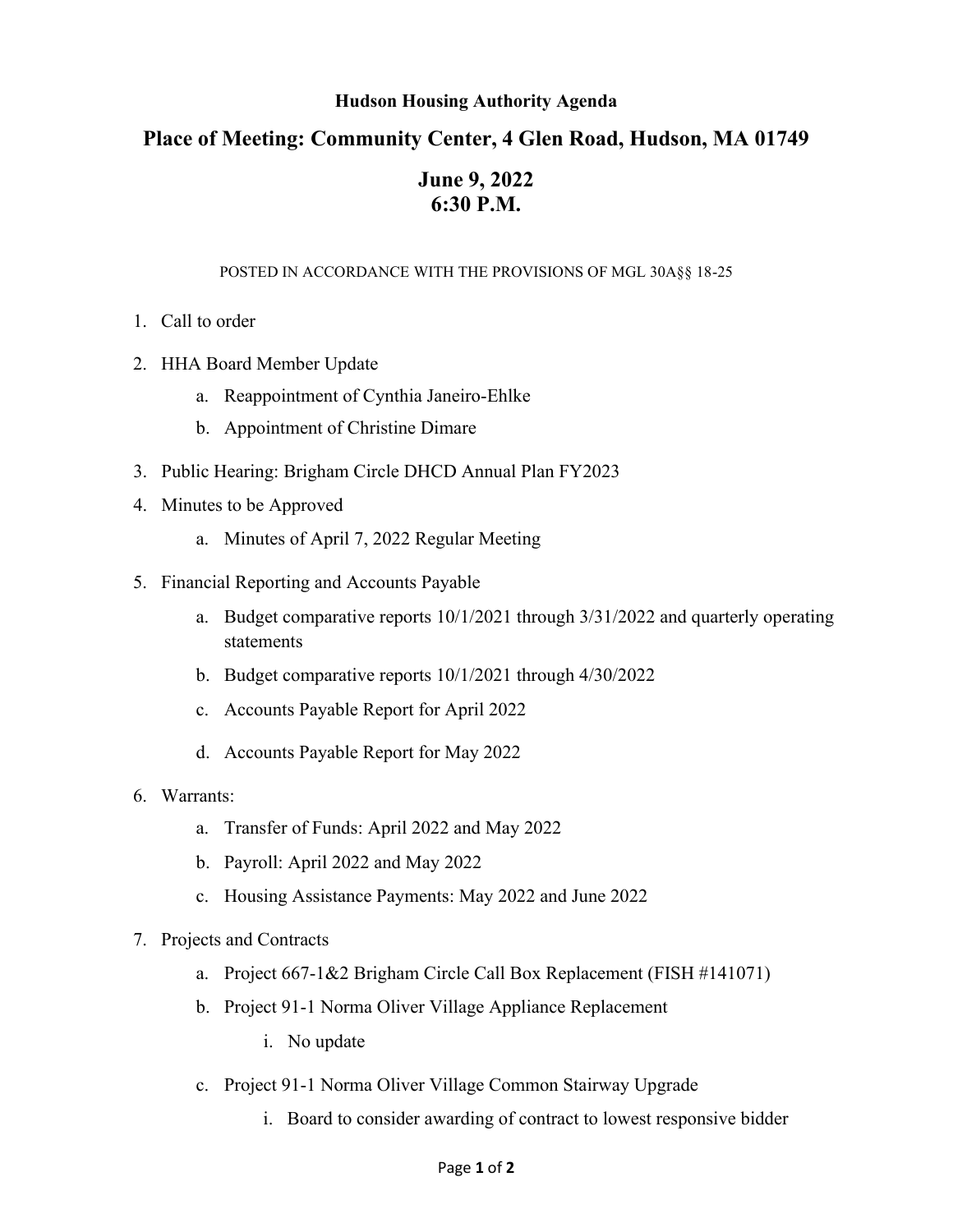## **Hudson Housing Authority Agenda**

## **Place of Meeting: Community Center, 4 Glen Road, Hudson, MA 01749**

## **June 9, 2022 6:30 P.M.**

## POSTED IN ACCORDANCE WITH THE PROVISIONS OF MGL 30A§§ 18-25

- 1. Call to order
- 2. HHA Board Member Update
	- a. Reappointment of Cynthia Janeiro-Ehlke
	- b. Appointment of Christine Dimare
- 3. Public Hearing: Brigham Circle DHCD Annual Plan FY2023
- 4. Minutes to be Approved
	- a. Minutes of April 7, 2022 Regular Meeting
- 5. Financial Reporting and Accounts Payable
	- a. Budget comparative reports 10/1/2021 through 3/31/2022 and quarterly operating statements
	- b. Budget comparative reports 10/1/2021 through 4/30/2022
	- c. Accounts Payable Report for April 2022
	- d. Accounts Payable Report for May 2022
- 6. Warrants:
	- a. Transfer of Funds: April 2022 and May 2022
	- b. Payroll: April 2022 and May 2022
	- c. Housing Assistance Payments: May 2022 and June 2022
- 7. Projects and Contracts
	- a. Project 667-1&2 Brigham Circle Call Box Replacement (FISH #141071)
	- b. Project 91-1 Norma Oliver Village Appliance Replacement
		- i. No update
	- c. Project 91-1 Norma Oliver Village Common Stairway Upgrade
		- i. Board to consider awarding of contract to lowest responsive bidder